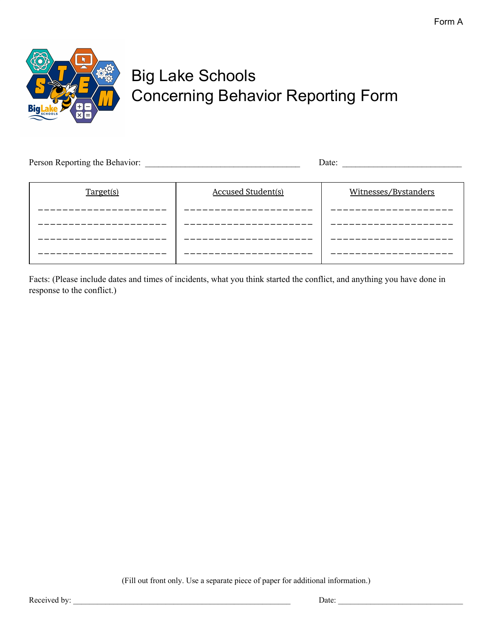

## Big Lake Schools Concerning Behavior Reporting Form

| Person Reporting the Behavior: |                           | Date:                |  |
|--------------------------------|---------------------------|----------------------|--|
| Target(s)                      | <b>Accused Student(s)</b> | Witnesses/Bystanders |  |
|                                |                           |                      |  |
|                                |                           |                      |  |
|                                |                           |                      |  |
|                                |                           |                      |  |

Facts: (Please include dates and times of incidents, what you think started the conflict, and anything you have done in response to the conflict.)

(Fill out front only. Use a separate piece of paper for additional information.)